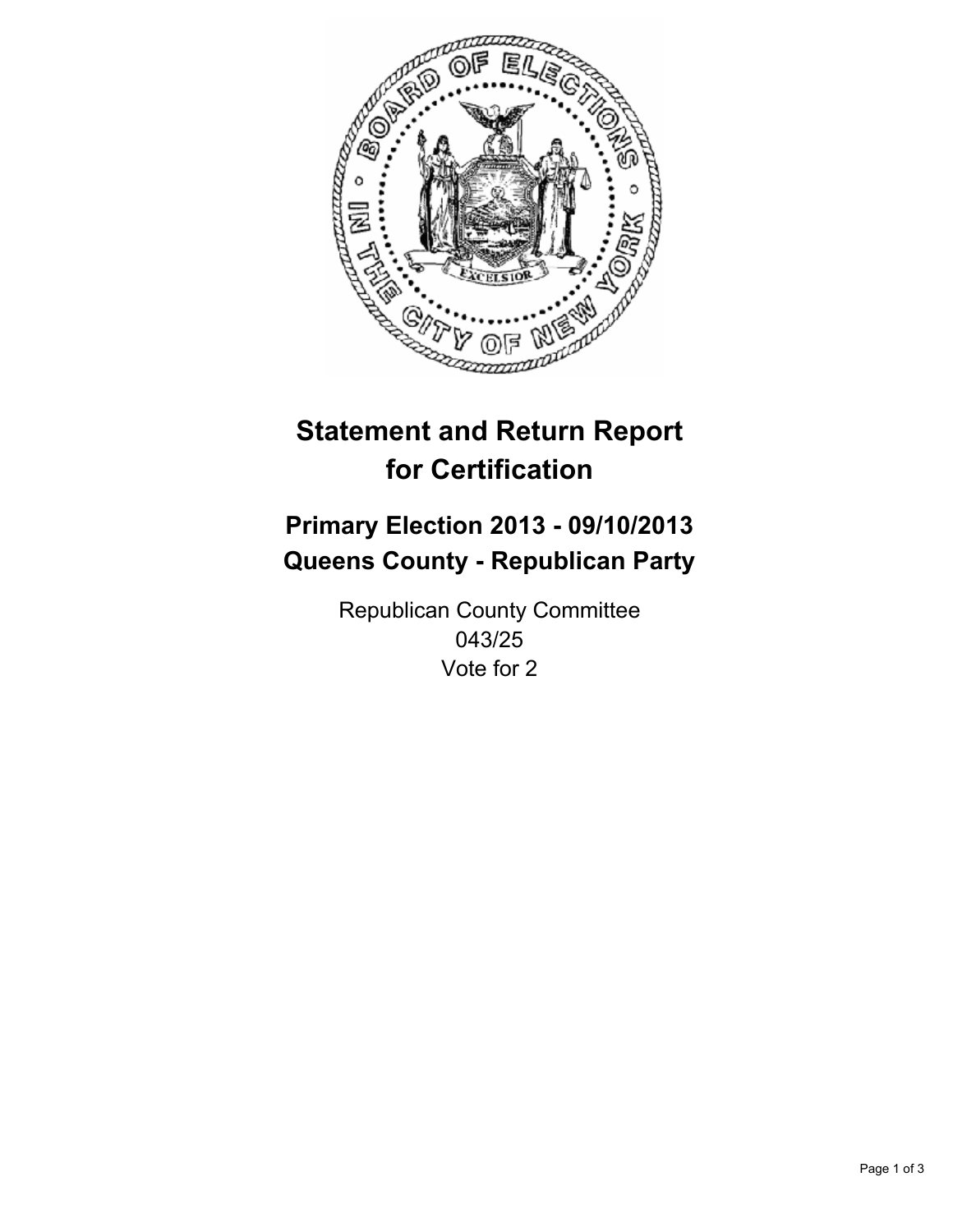

# **Statement and Return Report for Certification**

# **Primary Election 2013 - 09/10/2013 Queens County - Republican Party**

Republican County Committee 043/25 Vote for 2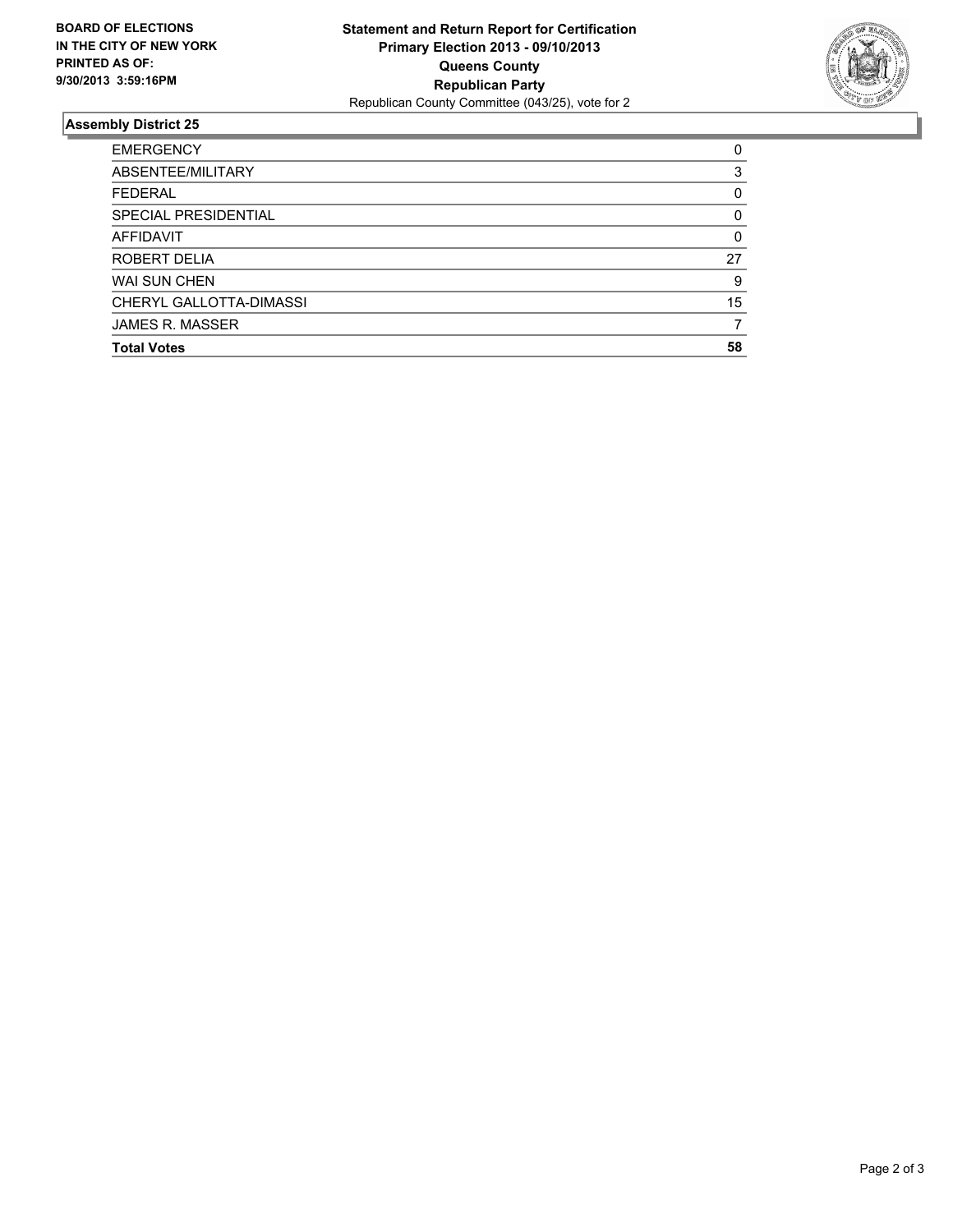

## **Assembly District 25**

| <b>EMERGENCY</b>        | 0        |
|-------------------------|----------|
| ABSENTEE/MILITARY       | 3        |
| <b>FEDERAL</b>          | 0        |
| SPECIAL PRESIDENTIAL    | $\Omega$ |
| AFFIDAVIT               | $\Omega$ |
| ROBERT DELIA            | 27       |
| <b>WAI SUN CHEN</b>     | 9        |
| CHERYL GALLOTTA-DIMASSI | 15       |
| <b>JAMES R. MASSER</b>  |          |
| <b>Total Votes</b>      | 58       |